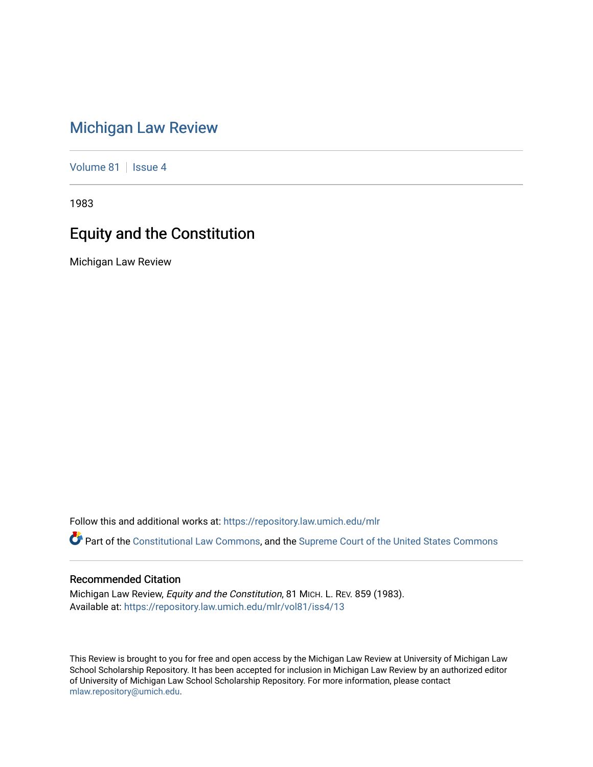## [Michigan Law Review](https://repository.law.umich.edu/mlr)

[Volume 81](https://repository.law.umich.edu/mlr/vol81) | [Issue 4](https://repository.law.umich.edu/mlr/vol81/iss4)

1983

## Equity and the Constitution

Michigan Law Review

Follow this and additional works at: [https://repository.law.umich.edu/mlr](https://repository.law.umich.edu/mlr?utm_source=repository.law.umich.edu%2Fmlr%2Fvol81%2Fiss4%2F13&utm_medium=PDF&utm_campaign=PDFCoverPages) 

Part of the [Constitutional Law Commons,](http://network.bepress.com/hgg/discipline/589?utm_source=repository.law.umich.edu%2Fmlr%2Fvol81%2Fiss4%2F13&utm_medium=PDF&utm_campaign=PDFCoverPages) and the [Supreme Court of the United States Commons](http://network.bepress.com/hgg/discipline/1350?utm_source=repository.law.umich.edu%2Fmlr%2Fvol81%2Fiss4%2F13&utm_medium=PDF&utm_campaign=PDFCoverPages)

## Recommended Citation

Michigan Law Review, Equity and the Constitution, 81 MICH. L. REV. 859 (1983). Available at: [https://repository.law.umich.edu/mlr/vol81/iss4/13](https://repository.law.umich.edu/mlr/vol81/iss4/13?utm_source=repository.law.umich.edu%2Fmlr%2Fvol81%2Fiss4%2F13&utm_medium=PDF&utm_campaign=PDFCoverPages) 

This Review is brought to you for free and open access by the Michigan Law Review at University of Michigan Law School Scholarship Repository. It has been accepted for inclusion in Michigan Law Review by an authorized editor of University of Michigan Law School Scholarship Repository. For more information, please contact [mlaw.repository@umich.edu.](mailto:mlaw.repository@umich.edu)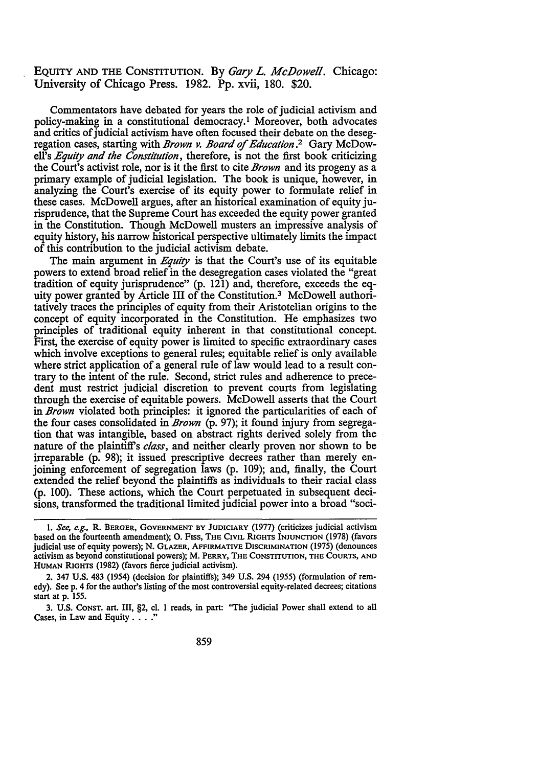EQUITY AND THE CONSTITUTION. By *Gary L. McDowell*. Chicago: University of Chicago Press. 1982. Pp. xvii, 180. \$20.

Commentators have debated for years the role of judicial activism and policy-making in a constitutional democracy. I Moreover, both advocates and critics of judicial activism have often focused their debate on the desegregation cases, starting with *Brown v. Board of Education.*2 Gary McDowell's *Equity and the Constitution,* therefore, is not the first book criticizing the Court's activist role, nor is it the first to cite *Brown* and its progeny as a primary example of judicial legislation. The book is unique, however, in analyzing the Court's exercise of its equity power to formulate relief in these cases. McDowell argues, after an historical examination of equity jurisprudence, that the Supreme Court has exceeded the equity power granted in the Constitution. Though McDowell musters an impressive analysis of equity history, his narrow historical perspective ultimately limits the impact of this contribution to the judicial activism debate.

The main argument in *Equity* is that the Court's use of its equitable powers to extend broad relief in the desegregation cases violated the "great tradition of equity jurisprudence" (p. 121) and, therefore, exceeds the equity power granted by Article III of the Constitution.3 McDowell authoritatively traces the principles of equity from their Aristotelian origins to the concept of equity incorporated in the Constitution. He emphasizes two principles of traditional equity inherent in that constitutional concept. First, the exercise of equity power is limited to specific extraordinary cases which involve exceptions to general rules; equitable relief is only available where strict application of a general rule of law would lead to a result contrary to the intent of the rule. Second, strict rules and adherence to precedent must restrict judicial discretion to prevent courts from legislating through the exercise of equitable powers. McDowell asserts that the Court in *Brown* violated both principles: it ignored the particularities of each of the four cases consolidated in *Brown* (p. 97); it found injury from segregation that was intangible, based on abstract rights derived solely from the nature of the plaintiff's *class,* and neither clearly proven nor shown to be irreparable (p. 98); it issued prescriptive decrees rather than merely enjoining enforcement of segregation laws (p. 109); and, finally, the Court extended the relief beyond the plaintiffs as individuals to their racial class (p. 100). These actions, which the Court perpetuated in subsequent decisions, transformed the traditional limited judicial power into a broad "soci-

<sup>1.</sup> *See, e.g.,* **R.** BERGER, GOVERNMENT BY JUDICIARY (1977) (criticizes judicial activism based on the fourteenth amendment); 0. F1ss, THE CIVIL RIGHTS INJUNCTION (1978) (favors judicial use of equity powers); N. GLAZER, AFFIRMATIVE DISCRIMINATION (1975) (denounces activism as beyond constitutional powers); M. PERRY, THE CONSTITUTION, THE COURTS, AND HUMAN RIGHTS (1982) (favors fierce judicial activism).

<sup>2. 347</sup> U.S. 483 (1954) (decision for plaintiffs); 349 U.S. 294 (1955) (formulation of remedy). See p. 4 for the author's listing of the most controversial equity-related decrees; citations start at p. 155.

<sup>3.</sup> U.S. CONST. art. III, §2, cl. I reads, in part: "The judicial Power shall extend to all Cases, in Law and Equity . . . ."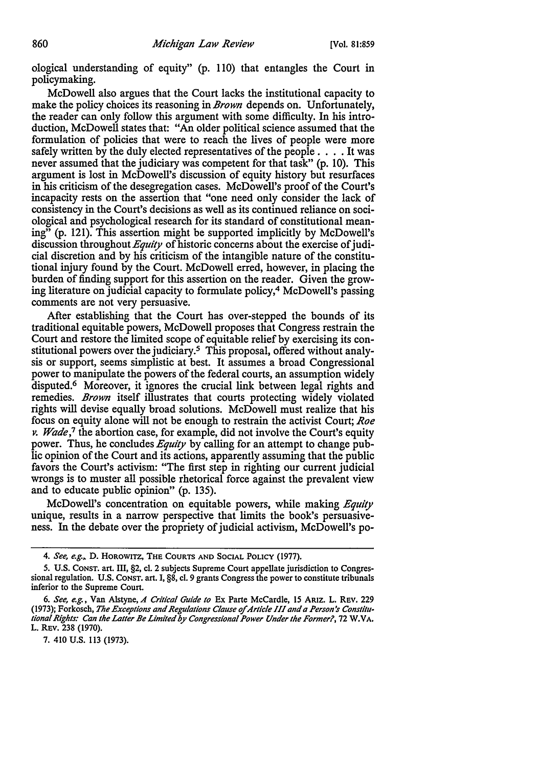ological understanding of equity" (p. 110) that entangles the Court in policymaking.

McDowell also argues that the Court lacks the institutional capacity to make the policy choices its reasoning in *Brown* depends on. Unfortunately, the reader can only follow this argument with some difficulty. In his introduction, McDowell states that: "An older political science assumed that the formulation of policies that were to reach the lives of people were more safely written by the duly elected representatives of the people . . . . It was never assumed that the judiciary was competent for that task" (p. 10). This argument is lost in McDowell's discussion of equity history but resurfaces in his criticism of the desegregation cases. McDowell's proof of the Court's incapacity rests on the assertion that "one need only consider the lack of consistency in the Court's decisions as well as its continued reliance on sociological and psychological research for its standard of constitutional meaning" (p. 121). This assertion might be supported implicitly by McDowell's discussion throughout  $Equity$  of historic concerns about the exercise of judicial discretion and by his criticism of the intangible nature of the constitutional injury found by the Court. McDowell erred, however, in placing the burden of finding support for this assertion on the reader. Given the growing literature on judicial capacity to formulate policy,<sup>4</sup>McDowell's passing comments are not very persuasive.

After establishing that the Court has over-stepped the bounds of its traditional equitable powers, McDowell proposes that Congress restrain the Court and restore the limited scope of equitable relief by exercising its constitutional powers over the judiciary.5 This proposal, offered without analysis or support, seems simplistic at best. It assumes a broad Congressional power to manipulate the powers of the federal courts, an assumption widely disputed.<sup>6</sup>Moreover, it ignores the crucial link between legal rights and remedies. *Brown* itself illustrates that courts protecting widely violated rights will devise equally broad solutions. McDowell must realize that his focus on equity alone will not be enough to restrain the activist Court; *Roe*  v. Wade,<sup>7</sup> the abortion case, for example, did not involve the Court's equity power. Thus, he concludes *Equity* by calling for an attempt to change public opinion of the Court and its actions, apparently assuming that the public favors the Court's activism: "The first step in righting our current judicial wrongs is to muster all possible rhetorical force against the prevalent view and to educate public opinion" (p. 135).

McDowell's concentration on equitable powers, while making  $Equity$ unique, results in a narrow perspective that limits the book's persuasiveness. In the debate over the propriety of judicial activism, McDowell's po-

7. 410 U.S. 113 (1973).

<sup>4.</sup> *See, e.g.~* D. HOROWITZ, THE COURTS AND SOCIAL POLICY (1977).

<sup>5.</sup> U.S. CONST. art. III, §2, cl. 2 subjects Supreme Court appellate jurisdiction to Congressional regulation. U.S. CONST. art. I, §8, cl. 9 grants Congress the power to constitute tribunals inferior to the Supreme Court.

<sup>6.</sup> *See, e.g.,* Van Alstyne, *A Critical Guide lo* Ex Parte McCardle, 15 ARIZ. L. REV. 229 (1973); Forkosch, *The Exceptions and Regulations Clause of Article* Ill *and a Person's Constitutional Rights: Can the Lal/er Be Limited* by *Congressional Power Under the Former?,* 72 W.VA. L. REV. 238 (1970).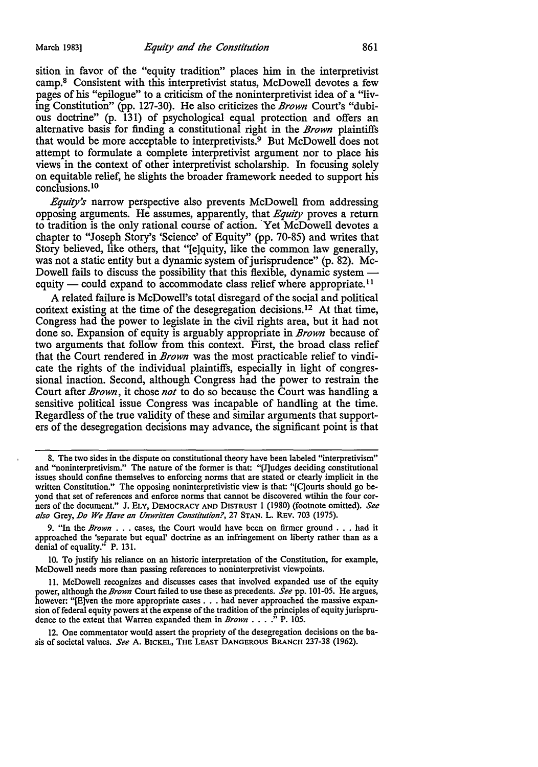sition in favor of the "equity tradition" places him in the interpretivist camp.<sup>8</sup> Consistent with this interpretivist status, McDowell devotes a few pages of his "epilogue" to a criticism of the noninterpretivist idea of a "living Constitution" (pp. 127-30). He also criticizes the *Brown* Court's "dubious doctrine" (p. 131) of psychological equal protection and offers an alternative basis for finding a constitutional right in the *Brown* plaintiffs that would be more acceptable to interpretivists.9 But McDowell does not attempt to formulate a complete interpretivist argument nor to place his views in the context of other interpretivist scholarship. In focusing solely on equitable relief, he slights the broader framework needed to support his conclusions. <sup>10</sup>

*Equity's* narrow perspective also prevents McDowell from addressing opposing arguments. He assumes, apparently, that *Equity* proves a return to tradition is the only rational course of action. Yet McDowell devotes a chapter to "Joseph Story's 'Science' of Equity" (pp. 70-85) and writes that Story believed, like others, that "[e]quity, like the common law generally, was not a static entity but a dynamic system of jurisprudence" (p. 82). Mc-Dowell fails to discuss the possibility that this flexible, dynamic system  $$ equity — could expand to accommodate class relief where appropriate.<sup>11</sup>

A related failure is McDowell's total disregard of the social and political context existing at the time of the desegregation decisions. 12 At that time, Congress had the power to legislate in the civil rights area, but it had not done so. Expansion of equity is arguably appropriate in *Brown* because of two arguments that follow from this context. First, the broad class relief that the Court rendered in *Brown* was the most practicable relief to vindicate the rights of the individual plaintiffs, especially in light of congressional inaction. Second, although Congress had the power to restrain the Court after *Brown,* it chose *not* to do so because the Court was handling a sensitive political issue Congress was incapable of handling at the time. Regardless of the true validity of these and similar arguments that supporters of the desegregation decisions may advance, the significant point is that

12. One commentator would assert the propriety of the desegregation decisions on the basis of societal values. *See* A. BICKEL, THE LEAST DANGEROUS BRANCH 237-38 (1962).

<sup>8.</sup> The two sides in the dispute on constitutional theory have been labeled "interpretivism" and "noninterpretivism." The nature of the former is that: "[J]udges deciding constitutional issues should confine themselves to enforcing norms that are stated or clearly implicit in the written Constitution." The opposing noninterpretivistic view is that: "[C]ourts should go beyond that set of references and enforce norms that cannot be discovered wtihin the four corners of the document." J. ELY, DEMOCRACY AND DISTRUST I (1980) (footnote omitted). *See also* Grey, *Do We Have an Unwritten Constitution?,* 27 STAN. L. REV. 703 (1975).

<sup>9. &</sup>quot;In the *Brown* ... cases, the Court would have been on firmer ground ... had it approached the 'separate but equal' doctrine as an infringement on liberty rather than as a denial of equality." P. 131.

<sup>10.</sup> To justify his reliance on an historic interpretation of the Constitution, for example, McDowell needs more than passing references to noninterpretivist viewpoints.

<sup>11.</sup> McDowell recognizes and discusses cases that involved expanded use of the equity power, although the *Brown* Court failed to use these as precedents. *See* pp. 101-05. He argues, however: "[E]ven the more appropriate cases . . . had never approached the massive expansion of federal equity powers at the expense of the tradition of the principles of equity jurisprudence to the extent that Warren expanded them in *Brown* .... " P. 105.